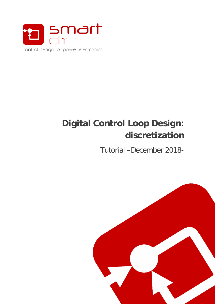

# **Digital Control Loop Design: discretization**

Tutorial –December 2018-

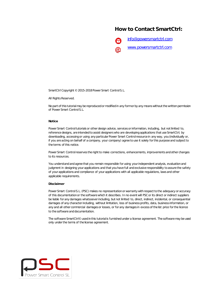#### **How to Contact SmartCtrl:**



SmartCtrl Copyright © 2015-2018 Power Smart Control S.L.

All Rights Reserved.

No part of this tutorial may be reproduced or modified in any form or by any means without the written permission of Power Smart Control S.L.

#### **Notice**

Power Smart Control tutorials or other design advice, services or information, including, but not limited to, reference designs, are intended to assist designers who are developing applications that use SmartCtrl; by downloading, accessing or using any particular Power Smart Control resource in any way, you (individually or, if you are acting on behalf of a company, your company) agree to use it solely for this purpose and subject to the terms of this notice.

Power Smart Controlreserves the right to make corrections, enhancements, improvements and other changes to its resources.

You understand and agree that you remain responsible for using your independent analysis, evaluation and judgment in designing your applications and that you have full and exclusive responsibility to assure the safety of your applications and compliance of your applications with all applicable regulations, laws and other applicable requirements.

#### **Disclaimer**

Power Smart Control S.L. (PSC) makes no representation or warranty with respect to the adequacy or accuracy of this documentation or the software which it describes. In no event will PSC or its direct or indirect suppliers be liable for any damages whatsoever including, but not limited to, direct, indirect, incidental, or consequential damages of any character including, without limitation, loss of business profits, data, business information, or any and all other commercial damages or losses, or for any damages in excess of the list price for the licence to the software and documentation.

The software SmartCtrl© used in this tutorial is furnished under a license agreement. The software may be used only under the terms of the license agreement.

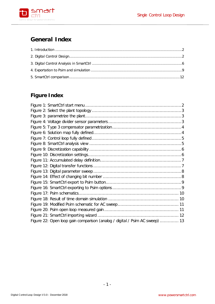

# **General Index**

# **Figure Index**

| Figure 22: Open loop gain comparison (analog / digital / Psim AC sweep)  13 |  |
|-----------------------------------------------------------------------------|--|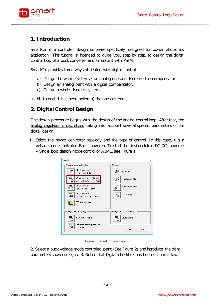

## <span id="page-3-0"></span>**1. Introduction**

SmartCtrl is a controller design software specifically designed for power electronics application. This tutorial is intended to guide you, step by step, to design the digital control loop of a buck converter and simulate it with PSIM.

SmartCtrl provides three ways of dealing with digital controls:

- a) Design the whole system as an analog one and discretize the compensator
- b) Design an analog plant with a digital compensator.
- c) Design a whole discrete system.

In this tutorial, it has been option a) the one covered.

#### <span id="page-3-1"></span>**2. Digital Control Design**

The design procedure begins with the design of the analog control loop. After that, the analog regulator is discretized taking into account several specific parameters of the digital design.

1. Select the power converter topology and the type of control. In this case, it is a voltage mode controlled Buck converter. To start the design click in DC-DC converter – Single loop design mode control or ACMC, see [Figure 1.](#page-3-2)

| <b>SmartCtrl</b>                                              | ×                               |
|---------------------------------------------------------------|---------------------------------|
| Design a predefined topology                                  | Open a                          |
| DC-DC power stage and<br>⋍<br>control circuit design          | $\Rightarrow$<br>default file   |
| DC-DC converter - Single loop<br>Voltage Mode Control or ACMC | ₫<br>recently saved file        |
| DC-DC converter<br>Peak current mode control                  | previously saved file           |
| DC-DC converter<br>Average Current Mode Control               | sample design                   |
| PFC Boost converter                                           |                                 |
| Design a generic topology                                     | Design a generic control system |
| s-domain model editor<br>sn                                   | Equation editor                 |
| Import frequency response data<br>from txt file               | Help<br>Close                   |

#### Figure 1: SmartCtrl start menu

<span id="page-3-2"></span>2. Select a buck voltage mode controlled plant (See [Figure 2\)](#page-4-0) and introduce the plant parameters shown in [Figure 3.](#page-4-1) Notice that Digital checkbox has been left unmarked.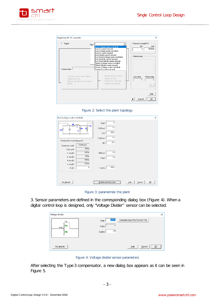





<span id="page-4-0"></span>

| Buck (voltage mode controlled)                                                                                                                                                                                                                                                     |                                                                                                                                       | $\times$ |
|------------------------------------------------------------------------------------------------------------------------------------------------------------------------------------------------------------------------------------------------------------------------------------|---------------------------------------------------------------------------------------------------------------------------------------|----------|
| <b>RL</b> 000<br>ы<br>$+V_0$<br>Rc.<br>R<br>VinT<br>С÷<br>Steady-state do operating point<br>Continuous<br>Conduction mode<br>250 m<br>Duty cycle<br>625 m<br>IL avg (A)<br>700 m<br>IL max (A)<br>550 <sub>m</sub><br>IL min (A)<br>625 m<br>lo avg (A)<br>4<br>Vo <sub>[V]</sub> | 16<br>Vin(V)<br>1n<br>RL(Ohms)<br>200u<br>L(H)<br>1n<br>Rc(Ohms)<br>30 u<br>C(F)<br>6.4<br>R(Ohms)<br>2.5<br>Po(W)<br>100k<br>Fsw(Hz) |          |
| Set defaults                                                                                                                                                                                                                                                                       | QK<br>Update read only boxes<br>Help<br>Cancel                                                                                        |          |

Figure 3: parametrize the plant

<span id="page-4-1"></span>3. Sensor parameters are defined in the corresponding dialog box [\(Figure 4\)](#page-4-2). When a digital control loop is designed, only "Voltage Divider" sensor can be selected.

| Voltage divider         |                                                                              | $\times$ 1 |
|-------------------------|------------------------------------------------------------------------------|------------|
| Vo<br> Ra<br>Vref<br>Rb | 625 m<br>Calculate Gain=Vref/Vo from Vref<br>Gain<br>Vo(V)<br>2.5<br>Vref(V) |            |
| Set defaults            | ŪΚ<br>Help<br>Cancel                                                         |            |

Figure 4: Voltage divider sensor parameters

<span id="page-4-2"></span>After selecting the Type 3 compensator, a new dialog box appears as it can be seen in [Figure 5.](#page-5-0)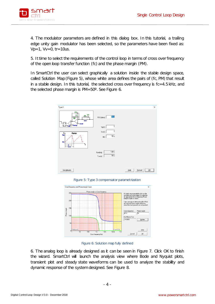

4. The modulator parameters are defined in this dialog box. In this tutorial, a trailing edge unity gain modulator has been selected, so the parameters have been fixed as:  $Vp=1$ ,  $Vv=0$ , tr=10us.

5. It time to select the requirements of the control loop in terms of cross over frequency of the open loop transfer function (fc) and the phase margin (PM).

In SmartCtrl the user can select graphically a solution inside the stable design space, called Solution Map (Figure 5), whose white area defines the pairs of (fc, PM) that result in a stable design. In this tutorial, the selected cross over frequency is fc=4.5 kHz, and the selected phase margin is PM=50º. See [Figure 6.](#page-5-1)



Figure 5: Type 3 compensator parametrization

<span id="page-5-0"></span>

Figure 6: Solution map fully defined

<span id="page-5-1"></span>6. The analog loop is already designed as it can be seen in [Figure 7.](#page-6-0) Click OK to finish the wizard. SmartCtrl will launch the analysis view where Bode and Nyquist plots, transient plot and steady state waveforms can be used to analyze the stability and dynamic response of the system designed. See [Figure 8.](#page-6-1)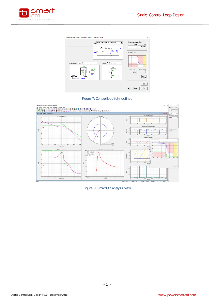





<span id="page-6-0"></span>

<span id="page-6-1"></span>Figure 8: SmartCtrl analysis view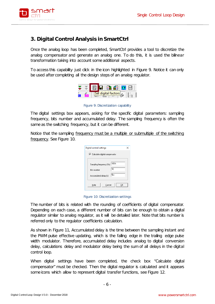

## <span id="page-7-0"></span>**3. Digital Control Analysis in SmartCtrl**

Once the analog loop has been completed, SmartCtrl provides a tool to discretize the analog compensator and generate an analog one. To do this, it is used the bilinear transformation taking into account some additional aspects.

To access this capability just click in the icon highlighted in [Figure 9.](#page-7-1) Notice it can only be used after completing all the design steps of an analog regulator.



Figure 9: Discretization capability

<span id="page-7-1"></span>The digital settings box appears, asking for the specific digital parameters: sampling frequency, bits number and accumulated delay. The sampling frequency is often the same as the switching frequency, but it can be different.

Notice that the sampling frequency must be a multiple or submultiple of the switching frequency. See [Figure 10.](#page-7-2)

| Digital control settings                       |  |
|------------------------------------------------|--|
| $\triangleright$ Calculate digital compensator |  |
| 100 k<br>Sampling frequency (Hz)               |  |
| 10<br><b>Bits number</b>                       |  |
| 5∣u<br>Accumulated delay (s)                   |  |
| Cancel<br>Help<br>OΚ                           |  |

Figure 10: Discretization settings

<span id="page-7-2"></span>The number of bits is related with the rounding of coefficients of digital compensator. Depending on each case, a different number of bits can be enough to obtain a digital regulator similar to analog regulator, as it will be detailed later. Note that bits number is referred only to the regulator coefficients calculation.

As shown in [Figure 11,](#page-8-0) Accumulated delay is the time between the sampling instant and the PWM pulse effective updating, which is the falling edge in the trailing edge pulse width modulator. Therefore, accumulated delay includes analog to digital conversion delay, calculations delay and modulator delay being the sum of all delays in the digital control loop.

When digital settings have been completed, the check box "Calculate digital compensator" must be checked. Then the digital regulator is calculated and it appears some icons which allow to represent digital transfer functions, see [Figure 12.](#page-8-1)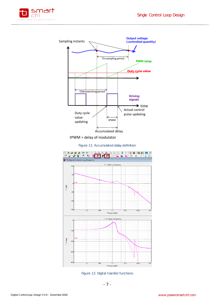



tPWM = delay of modulator



<span id="page-8-0"></span>

<span id="page-8-1"></span>Figure 12: Digital transfer functions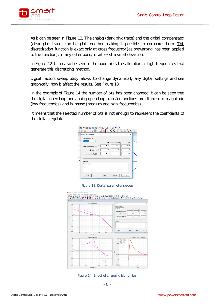

As it can be seen in [Figure 12,](#page-8-1) The analog (dark pink trace) and the digital compensator (clear pink trace) can be plot together making it possible to compare them. This discretization function is exact only at cross frequency (as prewarping has been applied to the function), in any other point, it will exist a small deviation.

In [Figure 12](#page-8-1) it can also be seen in the bode plots the alteration at high frequencies that generate this discretizing method.

Digital factors sweep utility allows to change dynamically any digital settings and see graphically how it affect the results. See [Figure 13.](#page-9-0)

In the example of [Figure 14](#page-9-1) the number of bits has been changed, it can be seen that the digital open loop and analog open loop transfer functions are different in magnitude (low frequencies) and in phase (medium and high frequencies).

It means that the selected number of bits is not enough to represent the coefficients of the digital regulator.



Figure 13: Digital parameter sweep

<span id="page-9-0"></span>

<span id="page-9-1"></span>Figure 14: Effect of changing bit number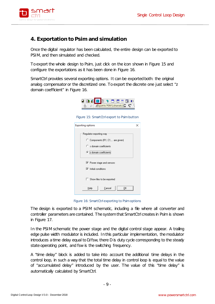

### <span id="page-10-0"></span>**4. Exportation to Psim and simulation**

Once the digital regulator has been calculated, the entire design can be exported to PSIM, and then simulated and checked.

To export the whole design to Psim, just click on the icon shown in [Figure 15](#page-10-1) and configure the exportations as it has been done in [Figure 16.](#page-10-2)

<span id="page-10-1"></span>SmartCtrl provides several exporting options. It can be exported both: the original analog compensator or the discretized one. To export the discrete one just select "z domain coefficient" in [Figure 16.](#page-10-2)



Figure 15: SmartCtrl export to Psim button

| <b>Exporting options</b>                                                                                                   |  |
|----------------------------------------------------------------------------------------------------------------------------|--|
| Regulator exporting way<br>C Components (R1, C1, are given)<br>$\heartsuit$ s domain coefficients<br>2 domain coefficients |  |
| Ⅳ Power stage and sensors<br>$\nabla$ Initial conditions                                                                   |  |
| Show files to be exported                                                                                                  |  |
| OΚ<br>Help<br>Cancel                                                                                                       |  |

Figure 16: SmartCtrl exporting to Psim options

<span id="page-10-2"></span>The design is exported to a PSIM schematic, including a file where all converter and controller parameters are contained. The system that SmartCtrl creates in Psim is shown in [Figure 17.](#page-11-0)

In the PSIM schematic the power stage and the digital control stage appear. A trailing edge pulse width modulator is included. In this particular implementation, the modulator introduces a time delay equal to D/fsw, there D is duty cycle corresponding to the steady state operating point, and fsw is the switching frequency.

A "time delay" block is added to take into account the additional time delays in the control loop, in such a way that the total time delay in control loop is equal to the value of "accumulated delay" introduced by the user. The value of this "time delay" is automatically calculated by SmartCtrl.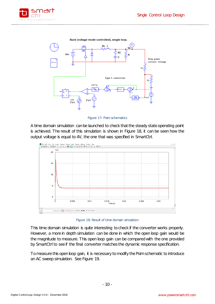



Figure 17: Psim schematics

<span id="page-11-0"></span>A time domain simulation can be launched to check that the steady state operating point is achieved. The result of this simulation is shown in [Figure 18,](#page-11-1) it can be seen how the output voltage is equal to 4V, the one that was specified in SmartCtrl.



Figure 18: Result of time domain simulation

<span id="page-11-1"></span>This time domain simulation is quite interesting to check if the converter works properly. However, a more in depth simulation can be done in which the open loop gain would be the magnitude to measure. This open loop gain can be compared with the one provided by SmartCtrl to see if the final converter matches the dynamic response specification.

To measure this open loop gain, it is necessary to modify the Psim schematic to introduce an AC sweep simulation. See [Figure 19.](#page-12-0)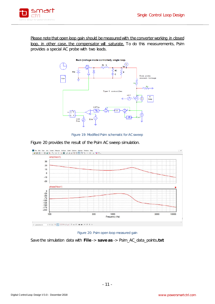

Please note that open loop gain should be measured with the converter working in closed loop, in other case, the compensator will saturate. To do this measurements, Psim provides a special AC probe with two leads.



Figure 19: Modified Psim schematic for AC sweep



<span id="page-12-0"></span>[Figure 20](#page-12-1) provides the result of the Psim AC sweep simulation.



<span id="page-12-1"></span>Save the simulation data with **File** -> **save as** -> Psim\_AC\_data\_points**.txt**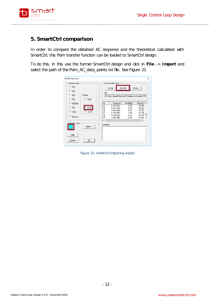

#### <span id="page-13-0"></span>**5. SmartCtrl comparison**

In order to compare the obtained AC response and the theoretical calculated with SmartCtrl, this Psim transfer function can be loaded to SmartCtrl design.

To do this, in this use the former SmartCtrl design and click in **File** –> **Import** and select the path of the Psim\_AC\_data\_points.txt file. See [Figure 21.](#page-13-1)

| Modify function                                      |                                                                               |                                                                                                  |                                                                            |                                                                                                                             | ×        |
|------------------------------------------------------|-------------------------------------------------------------------------------|--------------------------------------------------------------------------------------------------|----------------------------------------------------------------------------|-----------------------------------------------------------------------------------------------------------------------------|----------|
| Function type<br>$C$ G(f)<br>$C$ K(f)                |                                                                               | Load function from<br>*.tro file                                                                 | Text file                                                                  | Paste                                                                                                                       |          |
| Digital<br>$C$ A(f)<br>$C$ R(f)                      | file<br>$C$ Rz(f)                                                             | C:\Users\Jorge\Desktop\Tutoriales_revisados\T09                                                  |                                                                            |                                                                                                                             |          |
| $C$ K(f)*R(f)<br>$C$ T(f)<br>C CL(1)<br>O<br>Generic | #<br>44<br>Tz[0]<br>45<br>46<br>$C$ $CLzff$<br>47<br>48<br>49<br>$\checkmark$ | Freq(Hz)<br>$6.25e+003$<br>6.87e+003<br>7.54e+003<br>8.29e+003<br>$9.10e + 003$<br>$1.00e + 004$ | Mod(dB)<br>$-4.45$<br>$-5.62$<br>$-6.79$<br>$-7.96$<br>$-9.16$<br>$-10.38$ | Phase <sup>[*</sup> ]<br>$-149.49$<br>$-153.20$<br>$-157.35$<br>$-161.94$<br>$-167.03$<br>$-172.66$ $\vee$<br>$\rightarrow$ | $\wedge$ |
| Eunction color<br>Help                               | Comment<br>Select                                                             |                                                                                                  |                                                                            |                                                                                                                             |          |
| Cancel                                               | ŪΚ                                                                            |                                                                                                  |                                                                            |                                                                                                                             |          |

<span id="page-13-1"></span>Figure 21: SmartCtrl importing wizard